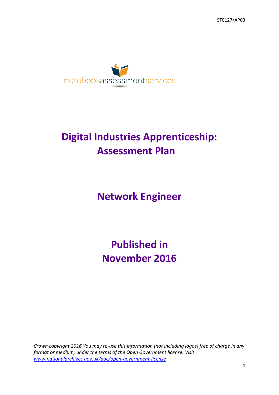

# **Digital Industries Apprenticeship: Assessment Plan**

**Network Engineer**

**Published in November 2016**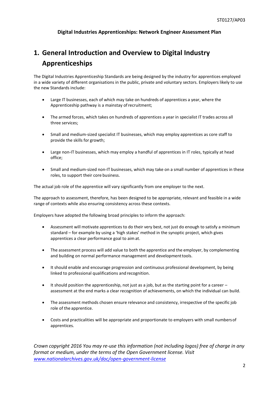#### **Digital Industries Apprenticeships: Network Engineer Assessment Plan**

## **1. General Introduction and Overview to Digital Industry Apprenticeships**

The Digital Industries Apprenticeship Standards are being designed by the industry for apprentices employed in a wide variety of different organisations in the public, private and voluntary sectors. Employers likely to use the new Standards include:

- Large IT businesses, each of which may take on hundreds of apprentices a year, where the Apprenticeship pathway is a mainstay ofrecruitment;
- The armed forces, which takes on hundreds of apprentices a year in specialist IT trades across all three services;
- Small and medium-sized specialist IT businesses, which may employ apprentices as core staff to provide the skills for growth;
- Large non-IT businesses, which may employ a handful of apprentices in IT roles, typically at head office;
- Small and medium-sized non-IT businesses, which may take on a small number of apprentices in these roles, to support their core business.

The actual job role of the apprentice will vary significantly from one employer to the next.

The approach to assessment, therefore, has been designed to be appropriate, relevant and feasible in a wide range of contexts while also ensuring consistency across these contexts.

Employers have adopted the following broad principles to inform the approach:

- Assessment will motivate apprentices to do their very best, not just do enough to satisfy a minimum standard – for example by using a 'high stakes' method in the synoptic project, which gives apprentices a clear performance goal to aimat.
- The assessment process will add value to both the apprentice and the employer, by complementing and building on normal performance management and developmenttools.
- It should enable and encourage progression and continuous professional development, by being linked to professional qualifications and recognition.
- $\bullet$  It should position the apprenticeship, not just as a job, but as the starting point for a career assessment at the end marks a clear recognition of achievements, on which the individual can build.
- The assessment methods chosen ensure relevance and consistency, irrespective of the specific job role of the apprentice.
- Costs and practicalities will be appropriate and proportionate to employers with small numbersof apprentices.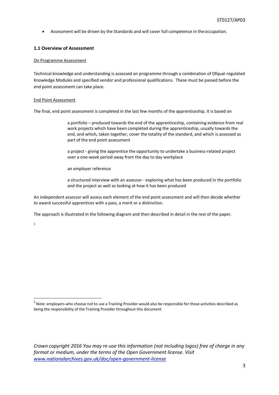Assessment will be driven by the Standards and will cover full competence in the occupation.

#### **1.1 Overview of Assessment**

#### On Programme Assessment

Technical knowledge and understanding is assessed on programme through a combination of Ofqual-regulated Knowledge Modules and specified vendor and professional qualifications. These must be passed before the end point assessment can take place.

#### End Point Assessment

The final, end point assessment is completed in the last few months of the apprenticeship. It is based on

a portfolio – produced towards the end of the apprenticeship, containing evidence from real work projects which have been completed during the apprenticeship, usually towards the end, and which, taken together, cover the totality of the standard, and which is assessed as part of the end point assessment

a project - giving the apprentice the opportunity to undertake a business-related project over a one-week period away from the day to day workplace

an employer reference

a structured interview with an assessor - exploring what has been produced in the portfolio and the project as well as looking at how it has been produced

An independent assessor will assess each element of the end point assessment and will then decide whether to award successful apprentices with a pass, a merit or a distinction.

The approach is illustrated in the following diagram and then described in detail in the rest of the paper.

1

 $1$  Note: employers who choose not to use a Training Provider would also be responsible for those activities described as being the responsibility of the Training Provider throughout this document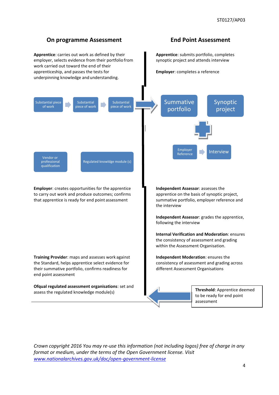### **On programme Assessment End Point Assessment**

**Apprentice**: carries out work as defined by their employer, selects evidence from their portfolio from work carried out toward the end of their apprenticeship, and passes the tests for underpinning knowledge and understanding.

**Apprentice**: submits portfolio, completes synoptic project and attends interview

**Employer**: completes a reference

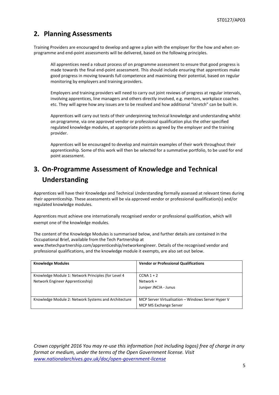### **2. Planning Assessments**

Training Providers are encouraged to develop and agree a plan with the employer for the how and when onprogramme and end-point assessments will be delivered, based on the following principles.

All apprentices need a robust process of on programme assessment to ensure that good progress is made towards the final end-point assessment. This should include ensuring that apprentices make good progress in moving towards full competence and maximising their potential, based on regular monitoring by employers and training providers.

Employers and training providers will need to carry out joint reviews of progress at regular intervals, involving apprentices, line managers and others directly involved, e.g. mentors, workplace coaches etc. They will agree how any issues are to be resolved and how additional "stretch" can be built in.

Apprentices will carry out tests of their underpinning technical knowledge and understanding whilst on programme, via one approved vendor or professional qualification plus the other specified regulated knowledge modules, at appropriate points as agreed by the employer and the training provider.

Apprentices will be encouraged to develop and maintain examples of their work throughout their apprenticeship. Some of this work will then be selected for a summative portfolio, to be used for end point assessment.

### **3. On-Programme Assessment of Knowledge and Technical Understanding**

Apprentices will have their Knowledge and Technical Understanding formally assessed at relevant times during their apprenticeship. These assessments will be via approved vendor or professional qualification(s) and/or regulated knowledge modules.

Apprentices must achieve one internationally recognised vendor or professional qualification, which will exempt one of the knowledge modules.

The content of the Knowledge Modules is summarised below, and further details are contained in the Occupational Brief, available from the Tech Partnership at [www.thetechpartnership.com/apprenticeship/networkengineer.](http://www.thetechpartnership.com/apprenticeship/networkengineer) Details of the recognised vendor and professional qualifications, and the knowledge module it exempts, are also set out below.

| <b>Knowledge Modules</b>                             | <b>Vendor or Professional Qualifications</b>       |
|------------------------------------------------------|----------------------------------------------------|
| Knowledge Module 1: Network Principles (for Level 4  | $CCNA$ 1 + 2                                       |
| Network Engineer Apprenticeship)                     | Network +                                          |
|                                                      | Juniper JNCIA - Junus                              |
|                                                      |                                                    |
| Knowledge Module 2: Network Systems and Architecture | MCP Server Virtualisation - Windows Server Hyper V |
|                                                      | MCP MS Exchange Server                             |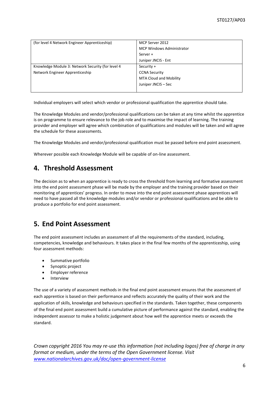| (for level 4 Network Engineer Apprenticeship)     | MCP Server 2012                  |
|---------------------------------------------------|----------------------------------|
|                                                   | <b>MCP Windows Administrator</b> |
|                                                   | Server +                         |
|                                                   | Juniper JNCIS - Ent              |
| Knowledge Module 3: Network Security (for level 4 | Security +                       |
| Network Engineer Apprenticeship                   | <b>CCNA Security</b>             |
|                                                   | <b>MTA Cloud and Mobility</b>    |
|                                                   | Juniper JNCIS - Sec              |
|                                                   |                                  |

Individual employers will select which vendor or professional qualification the apprentice should take.

The Knowledge Modules and vendor/professional qualifications can be taken at any time whilst the apprentice is on programme to ensure relevance to the job role and to maximise the impact of learning. The training provider and employer will agree which combination of qualifications and modules will be taken and will agree the schedule for these assessments.

The Knowledge Modules and vendor/professional qualification must be passed before end point assessment.

Wherever possible each Knowledge Module will be capable of on-line assessment.

### **4. Threshold Assessment**

The decision as to when an apprentice is ready to cross the threshold from learning and formative assessment into the end point assessment phase will be made by the employer and the training provider based on their monitoring of apprentices' progress. In order to move into the end point assessment phase apprentices will need to have passed all the knowledge modules and/or vendor or professional qualifications and be able to produce a portfolio for end point assessment.

### **5. End Point Assessment**

The end point assessment includes an assessment of all the requirements of the standard, including, competencies, knowledge and behaviours. It takes place in the final few months of the apprenticeship, using four assessment methods:

- Summative portfolio
- Synoptic project
- Employer reference
- Interview

The use of a variety of assessment methods in the final end point assessment ensures that the assessment of each apprentice is based on their performance and reflects accurately the quality of their work and the application of skills, knowledge and behaviours specified in the standards. Taken together, these components of the final end point assessment build a cumulative picture of performance against the standard, enabling the independent assessor to make a holistic judgement about how well the apprentice meets or exceeds the standard.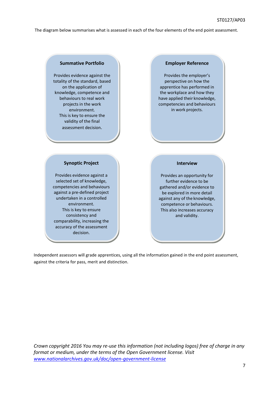The diagram below summarises what is assessed in each of the four elements of the end point assessment.

#### **Summative Portfolio**

Provides evidence against the totality of the standard, based on the application of knowledge, competence and behaviours to real work projects in the work environment. This is key to ensure the validity of the final assessment decision.

#### **Employer Reference**

Provides the employer's perspective on how the apprentice has performed in the workplace and how they have applied their knowledge, competencies and behaviours in work projects.

#### **Synoptic Project**

Provides evidence against a selected set of knowledge, competencies and behaviours against a pre-defined project undertaken in a controlled environment. This is key to ensure consistency and comparability, increasing the accuracy of the assessment decision.

#### **Interview**

Provides an opportunity for further evidence to be gathered and/or evidence to be explored in more detail against any of the knowledge, competence or behaviours. This also increases accuracy and validity.

Independent assessors will grade apprentices, using all the information gained in the end point assessment, against the criteria for pass, merit and distinction.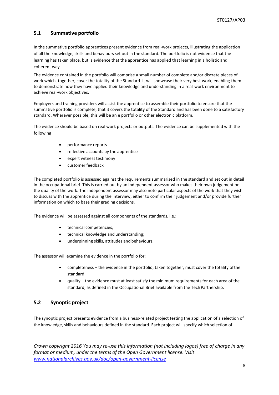#### **5.1 Summative portfolio**

In the summative portfolio apprentices present evidence from real-work projects, illustrating the application of all the knowledge, skills and behaviours set out in the standard. The portfolio is not evidence that the learning has taken place, but is evidence that the apprentice has applied that learning in a holistic and coherent way.

The evidence contained in the portfolio will comprise a small number of complete and/or discrete pieces of work which, together, cover the totality of the Standard. It will showcase their very best work, enabling them to demonstrate how they have applied their knowledge and understanding in a real-work environment to achieve real-work objectives.

Employers and training providers will assist the apprentice to assemble their portfolio to ensure that the summative portfolio is complete, that it covers the totality of the Standard and has been done to a satisfactory standard. Wherever possible, this will be an e portfolio or other electronic platform.

The evidence should be based on real work projects or outputs. The evidence can be supplemented with the following

- performance reports
- reflective accounts by the apprentice
- expert witness testimony
- customer feedback

The completed portfolio is assessed against the requirements summarised in the standard and set out in detail in the occupational brief. This is carried out by an independent assessor who makes their own judgement on the quality of the work. The independent assessor may also note particular aspects of the work that they wish to discuss with the apprentice during the interview, either to confirm their judgement and/or provide further information on which to base their grading decisions.

The evidence will be assessed against all components of the standards, i.e.:

- technical competencies;
- technical knowledge and understanding;
- underpinning skills, attitudes and behaviours.

The assessor will examine the evidence in the portfolio for:

- completeness the evidence in the portfolio, taken together, must cover the totality ofthe standard
- quality the evidence must at least satisfy the minimum requirements for each area of the standard, as defined in the Occupational Brief available from the Tech Partnership.

#### **5.2 Synoptic project**

The synoptic project presents evidence from a business-related project testing the application of a selection of the knowledge, skills and behaviours defined in the standard. Each project will specify which selection of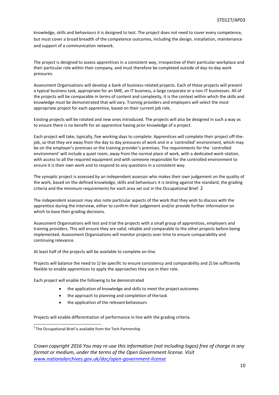knowledge, skills and behaviours it is designed to test. The project does not need to cover every competence, but must cover a broad breadth of the competence outcomes, including the design, installation, maintenance and support of a communication network.

The project is designed to assess apprentices in a consistent way, irrespective of their particular workplace and their particular role within their company, and must therefore be completed outside of day-to-day work pressures.

Assessment Organisations will develop a bank of business-related projects. Each of these projects will present a typical business task, appropriate for an SME, an IT business, a large corporate or a non-IT businesses. All of the projects will be comparable in terms of content and complexity, it is the context within which the skills and knowledge must be demonstrated that will vary. Training providers and employers will select the most appropriate project for each apprentice, based on their current job role.

Existing projects will be rotated and new ones introduced. The projects will also be designed in such a way as to ensure there is no benefit for an apprentice having prior knowledge of a project.

Each project will take, typically, five working days to complete. Apprentices will complete their project off-thejob, so that they are away from the day to day pressures of work and in a 'controlled' environment, which may be on the employer's premises or the training provider's premises. The requirements for the `controlled environment' will include a quiet room, away from the normal place of work, with a dedicated work-station, with access to all the required equipment and with someone responsible for the controlled environment to ensure it is their own work and to respond to any questions in a consistent way.

The synoptic project is assessed by an independent assessor who makes their own judgement on the quality of the work, based on the defined knowledge, skills and behaviours it is testing against the standard, the grading criteria and the minimum requirements for each area set out in the Occupational Brief. 2

The independent assessor may also note particular aspects of the work that they wish to discuss with the apprentice during the interview, either to confirm their judgement and/or provide further information on which to base their grading decisions.

Assessment Organisations will test and trial the projects with a small group of apprentices, employers and training providers. This will ensure they are valid, reliable and comparable to the other projects before being implemented. Assessment Organisations will monitor projects over time to ensure comparability and continuing relevance.

At least half of the projects will be available to complete on-line.

Projects will balance the need to 1) be specific to ensure consistency and comparability and 2) be sufficiently flexible to enable apprentices to apply the approaches they use in their role.

Each project will enable the following to be demonstrated

- the application of knowledge and skills to meet the project outcomes
- the approach to planning and completion of the task
- the application of the relevant behaviours

Projects will enable differentiation of performance in line with the grading criteria.

 $2$ The Occupational Brief is available from the Tech Partnership

*Crown copyright 2016 You may re-use this information (not including logos) free of charge in any format or medium, under the terms of the Open Government license. Visit [www.nationalarchives.gov.uk/doc/open-government-license](http://www.nationalarchives.gov.uk/doc/open-government-license)*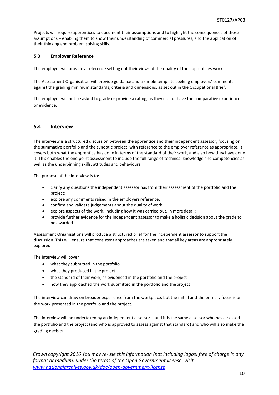Projects will require apprentices to document their assumptions and to highlight the consequences of those assumptions – enabling them to show their understanding of commercial pressures, and the application of their thinking and problem solving skills.

#### **5.3 Employer Reference**

The employer will provide a reference setting out their views of the quality of the apprentices work.

The Assessment Organisation will provide guidance and a simple template seeking employers' comments against the grading minimum standards, criteria and dimensions, as set out in the Occupational Brief.

The employer will not be asked to grade or provide a rating, as they do not have the comparative experience or evidence.

#### **5.4 Interview**

The interview is a structured discussion between the apprentice and their independent assessor, focusing on the summative portfolio and the synoptic project, with reference to the employer reference as appropriate. It covers both what the apprentice has done in terms of the standard of their work, and also how they have done it. This enables the end point assessment to include the full range of technical knowledge and competencies as well as the underpinning skills, attitudes and behaviours.

The purpose of the interview is to:

- clarify any questions the independent assessor has from their assessment of the portfolio and the project;
- explore any comments raised in the employersreference;
- confirm and validate judgements about the quality of work;
- explore aspects of the work, including how it was carried out, in more detail;
- provide further evidence for the independent assessor to make a holistic decision about the grade to be awarded.

Assessment Organisations will produce a structured brief for the independent assessor to support the discussion. This will ensure that consistent approaches are taken and that all key areas are appropriately explored.

The interview will cover

- what they submitted in the portfolio
- what they produced in the project
- the standard of their work, as evidenced in the portfolio and the project
- how they approached the work submitted in the portfolio and theproject

The interview can draw on broader experience from the workplace, but the initial and the primary focus is on the work presented in the portfolio and the project.

The interview will be undertaken by an independent assessor – and it is the same assessor who has assessed the portfolio and the project (and who is approved to assess against that standard) and who will also make the grading decision.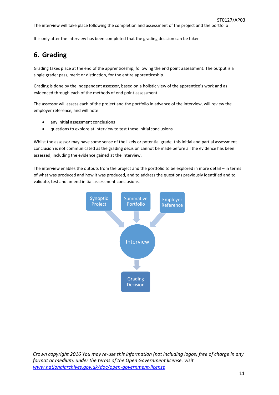The interview will take place following the completion and assessment of the project and the portfolio

It is only after the interview has been completed that the grading decision can be taken

### **6. Grading**

Grading takes place at the end of the apprenticeship, following the end point assessment. The output is a single grade: pass, merit or distinction, for the entire apprenticeship.

Grading is done by the independent assessor, based on a holistic view of the apprentice's work and as evidenced through each of the methods of end point assessment.

The assessor will assess each of the project and the portfolio in advance of the interview, will review the employer reference, and will note

- any initial assessment conclusions
- questions to explore at interview to test these initial conclusions

Whilst the assessor may have some sense of the likely or potential grade, this initial and partial assessment conclusion is not communicated as the grading decision cannot be made before all the evidence has been assessed, including the evidence gained at the interview.

The interview enables the outputs from the project and the portfolio to be explored in more detail – in terms of what was produced and how it was produced, and to address the questions previously identified and to validate, test and amend initial assessment conclusions.

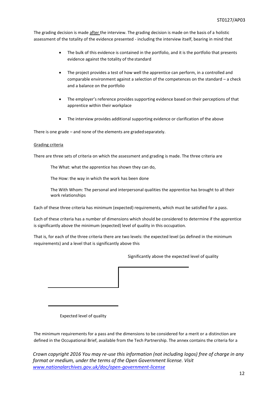The grading decision is made after the interview. The grading decision is made on the basis of a holistic assessment of the totality of the evidence presented - including the interview itself, bearing in mind that

- The bulk of this evidence is contained in the portfolio, and it is the portfolio that presents evidence against the totality of the standard
- The project provides a test of how well the apprentice can perform, in a controlled and comparable environment against a selection of the competences on the standard – a check and a balance on the portfolio
- The employer's reference provides supporting evidence based on their perceptions of that apprentice within their workplace
- The interview provides additional supporting evidence or clarification of the above

There is one grade – and none of the elements are gradedseparately.

#### Grading criteria

There are three sets of criteria on which the assessment and grading is made. The three criteria are

The What: what the apprentice has shown they can do,

The How: the way in which the work has been done

The With Whom: The personal and interpersonal qualities the apprentice has brought to all their work relationships

Each of these three criteria has minimum (expected) requirements, which must be satisfied for a pass.

Each of these criteria has a number of dimensions which should be considered to determine if the apprentice is significantly above the minimum (expected) level of quality in this occupation.

That is, for each of the three criteria there are two levels: the expected level (as defined in the minimum requirements) and a level that is significantly above this

Significantly above the expected level of quality

Expected level of quality

The minimum requirements for a pass and the dimensions to be considered for a merit or a distinction are defined in the Occupational Brief, available from the Tech Partnership. The annex contains the criteria for a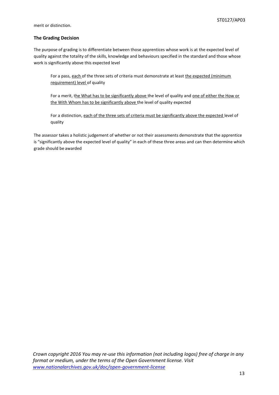merit or distinction.

#### **The Grading Decision**

The purpose of grading is to differentiate between those apprentices whose work is at the expected level of quality against the totality of the skills, knowledge and behaviours specified in the standard and those whose work is significantly above this expected level

For a pass, each of the three sets of criteria must demonstrate at least the expected (minimum requirement) level of quality

For a merit, the What has to be significantly above the level of quality and one of either the How or the With Whom has to be significantly above the level of quality expected

For a distinction, each of the three sets of criteria must be significantly above the expected level of quality

The assessor takes a holistic judgement of whether or not their assessments demonstrate that the apprentice is "significantly above the expected level of quality" in each of these three areas and can then determine which grade should be awarded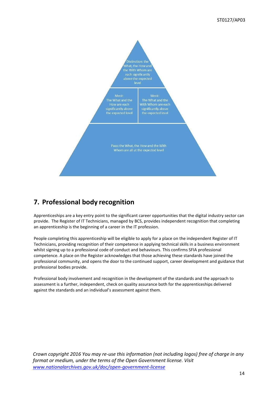![](_page_13_Figure_1.jpeg)

### **7. Professional body recognition**

Apprenticeships are a key entry point to the significant career opportunities that the digital industry sector can provide. The Register of IT Technicians, managed by BCS, provides independent recognition that completing an apprenticeship is the beginning of a career in the IT profession.

People completing this apprenticeship will be eligible to apply for a place on the independent Register of IT Technicians, providing recognition of their competence in applying technical skills in a business environment whilst signing up to a professional code of conduct and behaviours. This confirms SFIA professional competence. A place on the Register acknowledges that those achieving these standards have joined the professional community, and opens the door to the continued support, career development and guidance that professional bodies provide.

Professional body involvement and recognition in the development of the standards and the approach to assessment is a further, independent, check on quality assurance both for the apprenticeships delivered against the standards and an individual's assessment against them.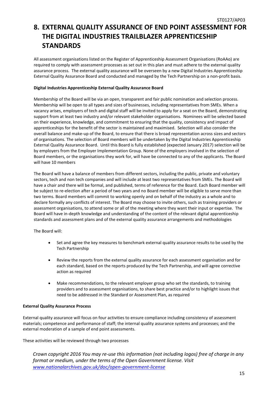## **8. EXTERNAL QUALITY ASSURANCE OF END POINT ASSESSMENT FOR THE DIGITAL INDUSTRIES TRAILBLAZER APPRENTICESHIP STANDARDS**

All assessment organisations listed on the Register of Apprenticeship Assessment Organisations (RoAAo) are required to comply with assessment processes as set out in this plan and must adhere to the external quality assurance process. The external quality assurance will be overseen by a new Digital Industries Apprenticeship External Quality Assurance Board and conducted and managed by the Tech Partnership on a non-profit basis.

#### **Digital Industries Apprenticeship External Quality Assurance Board**

Membership of the Board will be via an open, transparent and fair public nomination and selection process. Membership will be open to all types and sizes of businesses, including representatives from SMEs. When a vacancy arises, employers of tech and digital staff will be invited to apply for a seat on the Board, demonstrating support from at least two industry and/or relevant stakeholder organisations. Nominees will be selected based on their experience, knowledge, and commitment to ensuring that the quality, consistency and impact of apprenticeships for the benefit of the sector is maintained and maximised. Selection will also consider the overall balance and make-up of the Board, to ensure that there is broad representation across sizes and sectors of organisations. The selection of Board members will be undertaken by the Digital Industries Apprenticeship External Quality Assurance Board. Until this Board is fully established (expected January 2017) selection will be by employers from the Employer Implementation Group. None of the employers involved in the selection of Board members, or the organisations they work for, will have be connected to any of the applicants. The Board will have 10 members

The Board will have a balance of members from different sectors, including the public, private and voluntary sectors, tech and non tech companies and will include at least two representatives from SMEs. The Board will have a chair and there will be formal, and published, terms of reference for the Board. Each Board member will be subject to re-election after a period of two years and no Board member will be eligible to serve more than two terms. Board members will commit to working openly and on behalf of the industry as a whole and to declare formally any conflicts of interest. The Board may choose to invite others, such as training providers or assessment organisations, to attend some or all of the meeting where they want their input or expertise. The Board will have in-depth knowledge and understanding of the content of the relevant digital apprenticeship standards and assessment plans and of the external quality assurance arrangements and methodologies

The Board will:

- Set and agree the key measures to benchmark external quality assurance results to be used by the Tech Partnership
- Review the reports from the external quality assurance for each assessment organisation and for each standard, based on the reports produced by the Tech Partnership, and will agree corrective action as required
- Make recommendations, to the relevant employer group who set the standards, to training providers and to assessment organisations, to share best practice and/or to highlight issues that need to be addressed in the Standard or Assessment Plan, as required

#### **External Quality Assurance Process**

External quality assurance will focus on four activities to ensure compliance including consistency of assessment materials; competence and performance of staff; the internal quality assurance systems and processes; and the external moderation of a sample of end point assessments.

These activities will be reviewed through two processes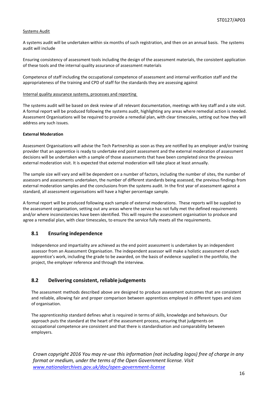#### Systems Audit

A systems audit will be undertaken within six months of such registration, and then on an annual basis. The systems audit will include

Ensuring consistency of assessment tools including the design of the assessment materials, the consistent application of these tools and the internal quality assurance of assessment materials

Competence of staff including the occupational competence of assessment and internal verification staff and the appropriateness of the training and CPD of staff for the standards they are assessing against

Internal quality assurance systems, processes and reporting

The systems audit will be based on desk review of all relevant documentation, meetings with key staff and a site visit. A formal report will be produced following the systems audit, highlighting any areas where remedial action is needed. Assessment Organisations will be required to provide a remedial plan, with clear timescales, setting out how they will address any such issues.

#### **External Moderation**

Assessment Organisations will advise the Tech Partnership as soon as they are notified by an employer and/or training provider that an apprentice is ready to undertake end point assessment and the external moderation of assessment decisions will be undertaken with a sample of those assessments that have been completed since the previous external moderation visit. It is expected that external moderation will take place at least annually.

The sample size will vary and will be dependent on a number of factors, including the number of sites, the number of assessors and assessments undertaken, the number of different standards being assessed, the previous findings from external moderation samples and the conclusions from the systems audit. In the first year of assessment against a standard, all assessment organisations will have a higher percentage sample.

A formal report will be produced following each sample of external moderations. These reports will be supplied to the assessment organisation, setting out any areas where the service has not fully met the defined requirements and/or where inconsistencies have been identified. This will require the assessment organisation to produce and agree a remedial plan, with clear timescales, to ensure the service fully meets all the requirements.

#### **8.1 Ensuring independence**

Independence and impartiality are achieved as the end point assessment is undertaken by an independent assessor from an Assessment Organisation. The independent assessor will make a holistic assessment of each apprentice's work, including the grade to be awarded, on the basis of evidence supplied in the portfolio, the project, the employer reference and through the interview.

#### **8.2 Delivering consistent, reliable judgements**

The assessment methods described above are designed to produce assessment outcomes that are consistent and reliable, allowing fair and proper comparison between apprentices employed in different types and sizes of organisation.

The apprenticeship standard defines what is required in terms of skills, knowledge and behaviours. Our approach puts the standard at the heart of the assessment process, ensuring that judgments on occupational competence are consistent and that there is standardisation and comparability between employers.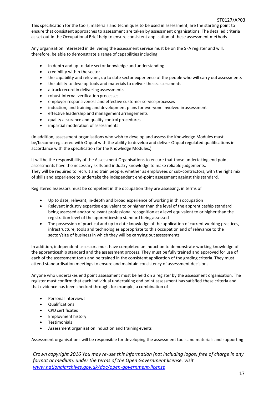This specification for the tools, materials and techniques to be used in assessment, are the starting point to ensure that consistent approaches to assessment are taken by assessment organisations. The detailed criteria as set out in the Occupational Brief help to ensure consistent application of these assessment methods.

Any organisation interested in delivering the assessment service must be on the SFA register and will, therefore, be able to demonstrate a range of capabilities including

- in depth and up to date sector knowledge and understanding
- credibility within the sector
- the capability and relevant, up to date sector experience of the people who will carry out assessments
- the ability to develop tools and materials to deliver these assessments
- a track record in delivering assessments
- robust internal verification processes
- employer responsiveness and effective customer service processes
- induction, and training and development plans for everyone involved in assessment
- effective leadership and management arrangements
- quality assurance and quality control procedures
- impartial moderation of assessments

(In addition, assessment organisations who wish to develop and assess the Knowledge Modules must be/become registered with Ofqual with the ability to develop and deliver Ofqual regulated qualifications in accordance with the specification for the Knowledge Modules.)

It will be the responsibility of the Assessment Organisations to ensure that those undertaking end point assessments have the necessary skills and industry knowledge to make reliable judgements. They will be required to recruit and train people, whether as employees or sub-contractors, with the right mix of skills and experience to undertake the independent end-point assessment against this standard.

Registered assessors must be competent in the occupation they are assessing, in terms of

- Up to date, relevant, in-depth and broad experience of working in thisoccupation
- Relevant industry expertise equivalent to or higher than the level of the apprenticeship standard being assessed and/or relevant professional recognition at a level equivalent to or higher than the registration level of the apprenticeship standard being assessed
- The possession of practical and up to date knowledge of the application of current working practices, infrastructure, tools and technologies appropriate to this occupation and of relevance to the sector/size of business in which they will be carrying out assessments

In addition, independent assessors must have completed an induction to demonstrate working knowledge of the apprenticeship standard and the assessment process. They must be fully trained and approved for use of each of the assessment tools and be trained in the consistent application of the grading criteria. They must attend standardisation meetings to ensure and maintain consistency of assessment decisions.

Anyone who undertakes end point assessment must be held on a register by the assessment organisation. The register must confirm that each individual undertaking end point assessment has satisfied these criteria and that evidence has been checked through, for example, a combination of

- Personal interviews
- Qualifications
- CPD certificates
- Employment history
- Testimonials
- Assessment organisation induction and training events

Assessment organisations will be responsible for developing the assessment tools and materials and supporting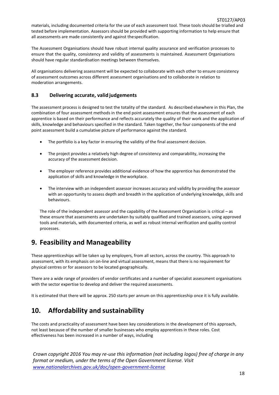materials, including documented criteria for the use of each assessment tool. These tools should be trialled and tested before implementation. Assessors should be provided with supporting information to help ensure that all assessments are made consistently and against thespecification.

The Assessment Organisations should have robust internal quality assurance and verification processes to ensure that the quality, consistency and validity of assessments is maintained. Assessment Organisations should have regular standardisation meetings between themselves.

All organisations delivering assessment will be expected to collaborate with each other to ensure consistency of assessment outcomes across different assessment organisations and to collaborate in relation to moderation arrangements.

#### **8.3 Delivering accurate, valid judgements**

The assessment process is designed to test the totality of the standard. As described elsewhere in this Plan, the combination of four assessment methods in the end point assessment ensures that the assessment of each apprentice is based on their performance and reflects accurately the quality of their work and the application of skills, knowledge and behaviours specified in the standard. Taken together, the four components of the end point assessment build a cumulative picture of performance against the standard.

- The portfolio is a key factor in ensuring the validity of the final assessment decision.
- The project provides a relatively high degree of consistency and comparability, increasing the accuracy of the assessment decision.
- The employer reference provides additional evidence of how the apprentice has demonstrated the application of skills and knowledge in theworkplace.
- The interview with an independent assessor increases accuracy and validity by providing the assessor with an opportunity to assess depth and breadth in the application of underlying knowledge, skills and behaviours.

The role of the independent assessor and the capability of the Assessment Organisation is critical – as these ensure that assessments are undertaken by suitably qualified and trained assessors, using approved tools and materials, with documented criteria, as well as robust internal verification and quality control processes.

### **9. Feasibility and Manageability**

These apprenticeships will be taken up by employers, from all sectors, across the country. This approach to assessment, with its emphasis on on-line and virtual assessment, means that there is no requirement for physical centres or for assessors to be located geographically.

There are a wide range of providers of vendor certificates and a number of specialist assessment organisations with the sector expertise to develop and deliver the required assessments.

It is estimated that there will be approx. 250 starts per annum on this apprenticeship once it is fully available.

### **10. Affordability and sustainability**

The costs and practicality of assessment have been key considerations in the development of this approach, not least because of the number of smaller businesses who employ apprentices in these roles. Cost effectiveness has been increased in a number of ways, including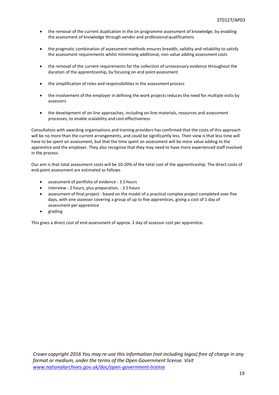- the removal of the current duplication in the on programme assessment of knowledge, by enabling the assessment of knowledge through vendor and professional qualifications
- the pragmatic combination of assessment methods ensures breadth, validity and reliability to satisfy the assessment requirements whilst minimising additional, non-value adding assessment costs
- the removal of the current requirements for the collection of unnecessary evidence throughout the duration of the apprenticeship, by focusing on end pointassessment
- the simplification of roles and responsibilities in the assessment process
- the involvement of the employer in defining the work projects reduces the need for multiple visits by assessors
- the development of on-line approaches, including on-line materials, resources and assessment processes, to enable scalability and cost-effectiveness

Consultation with awarding organisations and training providers has confirmed that the costs of this approach will be no more than the current arrangements, and could be significantly less. Their view is that less time will have to be spent on assessment, but that the time spent on assessment will be more value adding to the apprentice and the employer. They also recognise that they may need to have more experienced staff involved in the process.

Our aim is that total assessment costs will be 10-20% of the total cost of the apprenticeship. The direct costs of end-point assessment are estimated as follows

- assessment of portfolio of evidence 3.5 hours
- interview 2 hours, plus preparation, 3.5 hours
- assessment of final project based on the model of a practical complex project completed over five days, with one assessor covering a group of up to five apprentices, giving a cost of 1 day of assessment per apprentice
- grading

This gives a direct cost of end-assessment of approx. 2 day of assessor cost per apprentice.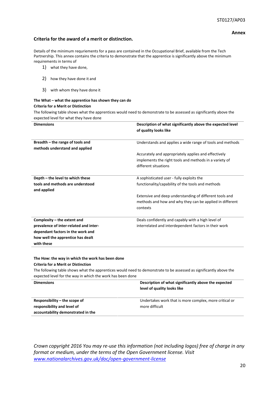#### **Annex**

#### **Criteria for the award of a merit or distinction.**

Details of the minimum requriements for a pass are contained in the Occupational Brief, available from the Tech Partnership. This annex contains the criteria to demonstrate that the apprentice is significantly above the minimum requirements in terms of

- 1) what they have done,
- 2) how they have done it and
- 3) with whom they have done it

#### **The What – what the apprentice has shown they can do Criteria for a Merit or Distinction**

The following table shows what the apprentices would need to demonstrate to be assessed as significantly above the expected level for what they have done

| <b>Dimensions</b>                      | Description of what significantly above the expected level |  |
|----------------------------------------|------------------------------------------------------------|--|
|                                        | of quality looks like                                      |  |
|                                        |                                                            |  |
| Breadth – the range of tools and       | Understands and applies a wide range of tools and methods  |  |
| methods understand and applied         |                                                            |  |
|                                        | Accurately and appropriately applies and effectively       |  |
|                                        | implements the right tools and methods in a variety of     |  |
|                                        | different situations                                       |  |
|                                        |                                                            |  |
| Depth - the level to which these       | A sophisticated user - fully exploits the                  |  |
| tools and methods are understood       | functionality/capability of the tools and methods          |  |
| and applied                            |                                                            |  |
|                                        | Extensive and deep understanding of different tools and    |  |
|                                        | methods and how and why they can be applied in different   |  |
|                                        | contexts                                                   |  |
| Complexity – the extent and            | Deals confidently and capably with a high level of         |  |
| prevalence of inter-related and inter- | interrelated and interdependent factors in their work      |  |
| dependant factors in the work and      |                                                            |  |
| how well the apprentice has dealt      |                                                            |  |
| with these                             |                                                            |  |
|                                        |                                                            |  |
|                                        |                                                            |  |

#### **The How: the way in which the work has been done Criteria for a Merit or Distinction**

The following table shows what the apprentices would need to demonstrate to be assessed as significantly above the expected level for the way in which the work has been done

| <b>Dimensions</b>                  | Description of what significantly above the expected<br>level of quality looks like |
|------------------------------------|-------------------------------------------------------------------------------------|
| Responsibility $-$ the scope of    | Undertakes work that is more complex, more critical or                              |
| responsibility and level of        | more difficult                                                                      |
| accountability demonstrated in the |                                                                                     |